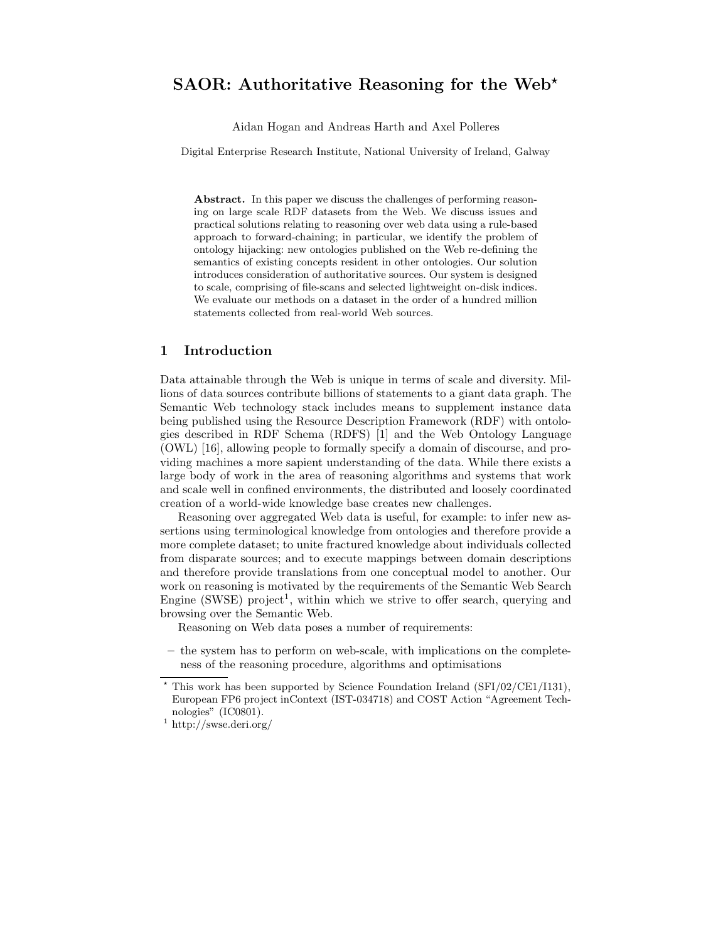# SAOR: Authoritative Reasoning for the Web<sup>\*</sup>

Aidan Hogan and Andreas Harth and Axel Polleres

Digital Enterprise Research Institute, National University of Ireland, Galway

Abstract. In this paper we discuss the challenges of performing reasoning on large scale RDF datasets from the Web. We discuss issues and practical solutions relating to reasoning over web data using a rule-based approach to forward-chaining; in particular, we identify the problem of ontology hijacking: new ontologies published on the Web re-defining the semantics of existing concepts resident in other ontologies. Our solution introduces consideration of authoritative sources. Our system is designed to scale, comprising of file-scans and selected lightweight on-disk indices. We evaluate our methods on a dataset in the order of a hundred million statements collected from real-world Web sources.

## 1 Introduction

Data attainable through the Web is unique in terms of scale and diversity. Millions of data sources contribute billions of statements to a giant data graph. The Semantic Web technology stack includes means to supplement instance data being published using the Resource Description Framework (RDF) with ontologies described in RDF Schema (RDFS) [1] and the Web Ontology Language (OWL) [16], allowing people to formally specify a domain of discourse, and providing machines a more sapient understanding of the data. While there exists a large body of work in the area of reasoning algorithms and systems that work and scale well in confined environments, the distributed and loosely coordinated creation of a world-wide knowledge base creates new challenges.

Reasoning over aggregated Web data is useful, for example: to infer new assertions using terminological knowledge from ontologies and therefore provide a more complete dataset; to unite fractured knowledge about individuals collected from disparate sources; and to execute mappings between domain descriptions and therefore provide translations from one conceptual model to another. Our work on reasoning is motivated by the requirements of the Semantic Web Search Engine (SWSE) project<sup>1</sup>, within which we strive to offer search, querying and browsing over the Semantic Web.

Reasoning on Web data poses a number of requirements:

– the system has to perform on web-scale, with implications on the completeness of the reasoning procedure, algorithms and optimisations

<sup>?</sup> This work has been supported by Science Foundation Ireland (SFI/02/CE1/I131), European FP6 project inContext (IST-034718) and COST Action "Agreement Technologies" (IC0801).

 $1$  http://swse.deri.org/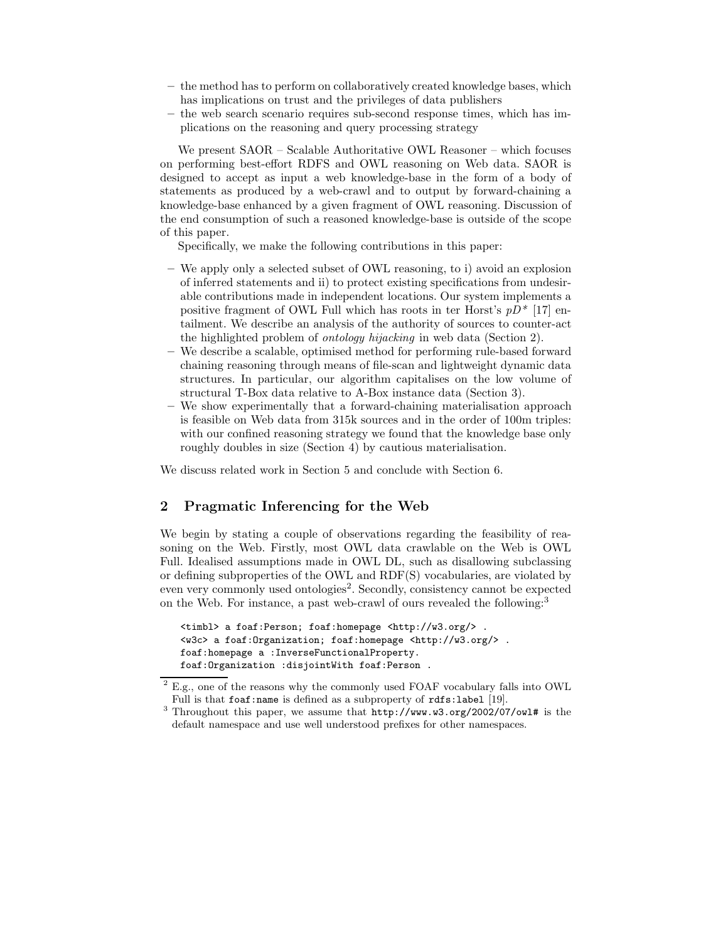- the method has to perform on collaboratively created knowledge bases, which has implications on trust and the privileges of data publishers
- the web search scenario requires sub-second response times, which has implications on the reasoning and query processing strategy

We present SAOR – Scalable Authoritative OWL Reasoner – which focuses on performing best-effort RDFS and OWL reasoning on Web data. SAOR is designed to accept as input a web knowledge-base in the form of a body of statements as produced by a web-crawl and to output by forward-chaining a knowledge-base enhanced by a given fragment of OWL reasoning. Discussion of the end consumption of such a reasoned knowledge-base is outside of the scope of this paper.

Specifically, we make the following contributions in this paper:

- We apply only a selected subset of OWL reasoning, to i) avoid an explosion of inferred statements and ii) to protect existing specifications from undesirable contributions made in independent locations. Our system implements a positive fragment of OWL Full which has roots in ter Horst's  $pD^*$  [17] entailment. We describe an analysis of the authority of sources to counter-act the highlighted problem of ontology hijacking in web data (Section 2).
- We describe a scalable, optimised method for performing rule-based forward chaining reasoning through means of file-scan and lightweight dynamic data structures. In particular, our algorithm capitalises on the low volume of structural T-Box data relative to A-Box instance data (Section 3).
- We show experimentally that a forward-chaining materialisation approach is feasible on Web data from 315k sources and in the order of 100m triples: with our confined reasoning strategy we found that the knowledge base only roughly doubles in size (Section 4) by cautious materialisation.

We discuss related work in Section 5 and conclude with Section 6.

## 2 Pragmatic Inferencing for the Web

We begin by stating a couple of observations regarding the feasibility of reasoning on the Web. Firstly, most OWL data crawlable on the Web is OWL Full. Idealised assumptions made in OWL DL, such as disallowing subclassing or defining subproperties of the OWL and RDF(S) vocabularies, are violated by even very commonly used ontologies<sup>2</sup>. Secondly, consistency cannot be expected on the Web. For instance, a past web-crawl of ours revealed the following:<sup>3</sup>

```
<timbl> a foaf:Person; foaf:homepage <http://w3.org/> .
<w3c> a foaf:Organization; foaf:homepage <http://w3.org/> .
foaf:homepage a :InverseFunctionalProperty.
foaf:Organization :disjointWith foaf:Person .
```
 $2$  E.g., one of the reasons why the commonly used FOAF vocabulary falls into OWL Full is that foaf:name is defined as a subproperty of rdfs:label [19].

<sup>3</sup> Throughout this paper, we assume that http://www.w3.org/2002/07/owl# is the default namespace and use well understood prefixes for other namespaces.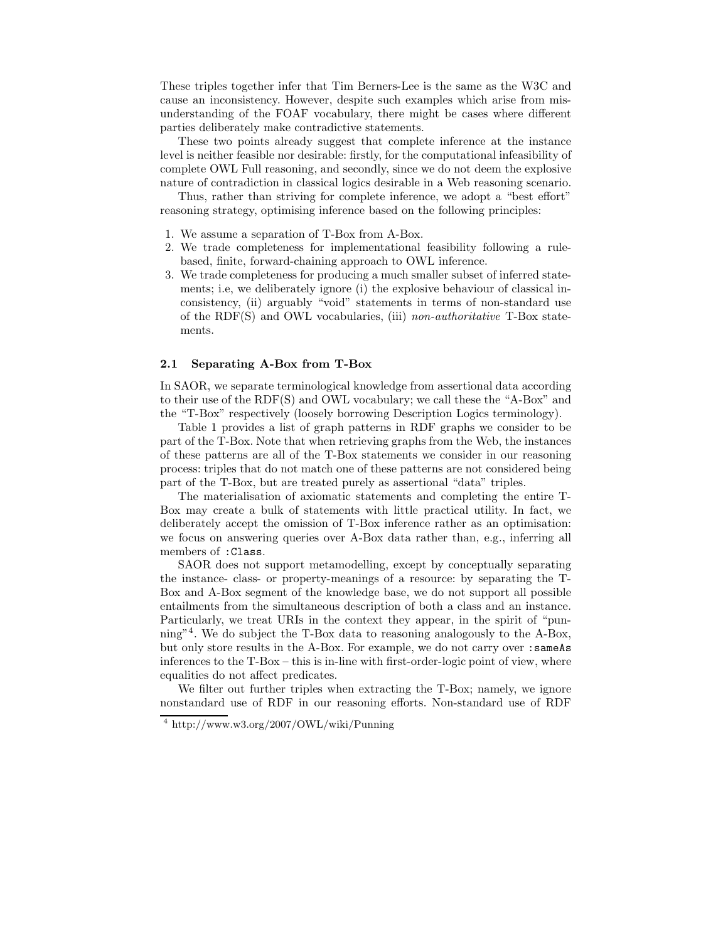These triples together infer that Tim Berners-Lee is the same as the W3C and cause an inconsistency. However, despite such examples which arise from misunderstanding of the FOAF vocabulary, there might be cases where different parties deliberately make contradictive statements.

These two points already suggest that complete inference at the instance level is neither feasible nor desirable: firstly, for the computational infeasibility of complete OWL Full reasoning, and secondly, since we do not deem the explosive nature of contradiction in classical logics desirable in a Web reasoning scenario.

Thus, rather than striving for complete inference, we adopt a "best effort" reasoning strategy, optimising inference based on the following principles:

- 1. We assume a separation of T-Box from A-Box.
- 2. We trade completeness for implementational feasibility following a rulebased, finite, forward-chaining approach to OWL inference.
- 3. We trade completeness for producing a much smaller subset of inferred statements; i.e, we deliberately ignore (i) the explosive behaviour of classical inconsistency, (ii) arguably "void" statements in terms of non-standard use of the RDF(S) and OWL vocabularies, (iii) non-authoritative T-Box statements.

#### 2.1 Separating A-Box from T-Box

In SAOR, we separate terminological knowledge from assertional data according to their use of the RDF(S) and OWL vocabulary; we call these the "A-Box" and the "T-Box" respectively (loosely borrowing Description Logics terminology).

Table 1 provides a list of graph patterns in RDF graphs we consider to be part of the T-Box. Note that when retrieving graphs from the Web, the instances of these patterns are all of the T-Box statements we consider in our reasoning process: triples that do not match one of these patterns are not considered being part of the T-Box, but are treated purely as assertional "data" triples.

The materialisation of axiomatic statements and completing the entire T-Box may create a bulk of statements with little practical utility. In fact, we deliberately accept the omission of T-Box inference rather as an optimisation: we focus on answering queries over A-Box data rather than, e.g., inferring all members of : Class.

SAOR does not support metamodelling, except by conceptually separating the instance- class- or property-meanings of a resource: by separating the T-Box and A-Box segment of the knowledge base, we do not support all possible entailments from the simultaneous description of both a class and an instance. Particularly, we treat URIs in the context they appear, in the spirit of "punning"<sup>4</sup> . We do subject the T-Box data to reasoning analogously to the A-Box, but only store results in the A-Box. For example, we do not carry over :sameAs inferences to the T-Box – this is in-line with first-order-logic point of view, where equalities do not affect predicates.

We filter out further triples when extracting the T-Box; namely, we ignore nonstandard use of RDF in our reasoning efforts. Non-standard use of RDF

<sup>4</sup> http://www.w3.org/2007/OWL/wiki/Punning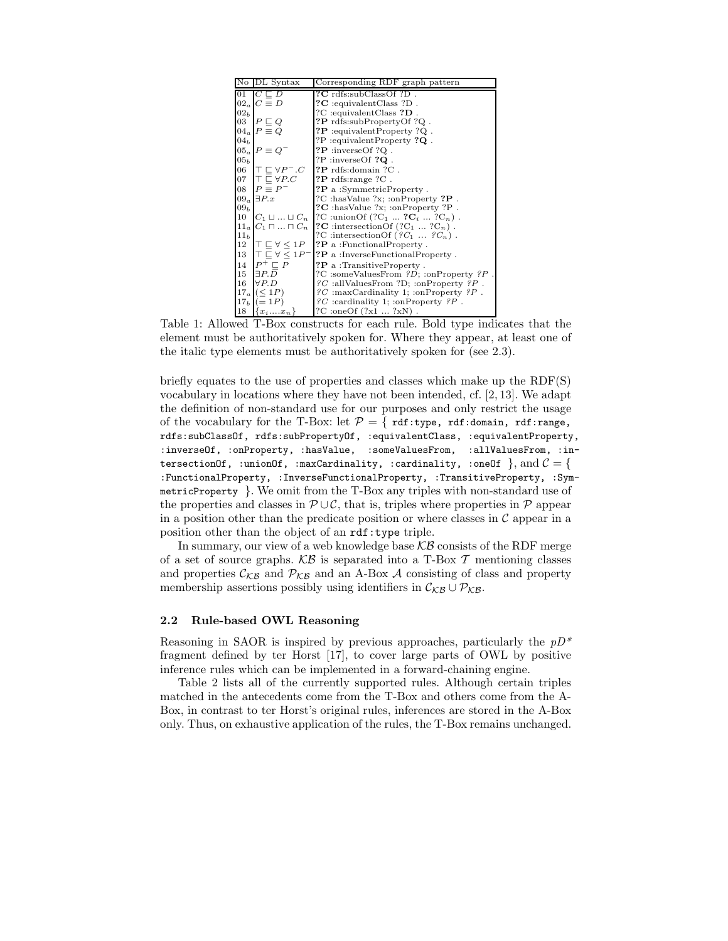| No              | DL Syntax                         | Corresponding RDF graph pattern                               |
|-----------------|-----------------------------------|---------------------------------------------------------------|
| 01              | $C \sqsubset D$                   | ?C rdfs:subClassOf ?D.                                        |
|                 | $02_a$ $C \equiv D$               | ?C:equivalent Class ?D.                                       |
| 02 <sub>b</sub> |                                   | ?C :equivalent Class $?D$ .                                   |
| 03              | $P \sqsubseteq Q$                 | $?P$ rdfs:subPropertyOf $?Q$ .                                |
| 04 <sub>a</sub> | $P \equiv Q$                      | ?P:equivalentProperty ?Q.                                     |
| 04 <sub>b</sub> |                                   | ?P:equivalentProperty? $Q$ .                                  |
|                 | $05_a$ $P \equiv Q^-$             | ?P:inverseOf?Q.                                               |
| 05 <sub>b</sub> |                                   | ?P:inverseOf?Q.                                               |
| 06              | $\top \sqsubset \forall P^- . C$  | $?P$ rdfs:domain $?C$ .                                       |
| 07              | $\top \sqsubset \forall P.C$      | $?P$ rdfs: range $?C$ .                                       |
| 08              | $P \equiv P^{-}$                  | $?P$ a :SymmetricProperty.                                    |
| 09 <sub>a</sub> | $\exists P.x$                     | ?C:hasValue ?x; :onProperty ? $P$ .                           |
| 09 <sub>b</sub> |                                   | ?C:hasValue ?x; :onProperty ?P.                               |
| 10              | $C_1 \sqcup  \sqcup C_n$          | ?C :unionOf $(?C_1  ?C_i  ?C_n)$ .                            |
|                 | $11_a   C_1 \sqcap  \sqcap C_n$   | ?C :intersection Of $(2C_1 \ldots 2C_n)$ .                    |
| 11 <sub>b</sub> |                                   | ?C :intersection Of $(\mathcal{C}C_1 \dots \mathcal{C}C_n)$ . |
| 12              | $T \sqsubset \forall \leq 1P$     | $?P$ a : Functional Property.                                 |
| 13              | $T \sqsubset \forall \leq 1P^{-}$ | $?P$ a :InverseFunctionalProperty.                            |
| 14              | $P^+\sqsubseteq P$                | $?P$ a : Transitive Property.                                 |
| 15              | $\exists P.D$                     | ?C:someValuesFrom ?D;:onProperty ?P                           |
| 16              | $\forall P.D$                     | $C$ : allValuesFrom ?D; : onProperty ?P.                      |
| 17 <sub>a</sub> | (< 1P)                            | C: maxCardinality 1; :onProperty ?P.                          |
| 17 <sub>b</sub> | $(=1P)$                           | ?C :cardinality 1; :onProperty ?P.                            |
| 18              | $\{x_i \dots x_n\}$               | ?C :oneOf $(?x1  ?xN)$ .                                      |

Table 1: Allowed T-Box constructs for each rule. Bold type indicates that the element must be authoritatively spoken for. Where they appear, at least one of the italic type elements must be authoritatively spoken for (see 2.3).

briefly equates to the use of properties and classes which make up the RDF(S) vocabulary in locations where they have not been intended, cf. [2, 13]. We adapt the definition of non-standard use for our purposes and only restrict the usage of the vocabulary for the T-Box: let  $\mathcal{P} = \{ \text{ rdf: type, rdf:domain, rdf:range, } \}$ rdfs:subClassOf, rdfs:subPropertyOf, :equivalentClass, :equivalentProperty, :inverseOf, :onProperty, :hasValue, :someValuesFrom, :allValuesFrom, :intersectionOf, :unionOf, :maxCardinality, :cardinality, :oneOf  $\}$ , and  $C = \{$ :FunctionalProperty, :InverseFunctionalProperty, :TransitiveProperty, :SymmetricProperty }. We omit from the T-Box any triples with non-standard use of the properties and classes in  $\mathcal{P} \cup \mathcal{C}$ , that is, triples where properties in  $\mathcal{P}$  appear in a position other than the predicate position or where classes in  $\mathcal C$  appear in a position other than the object of an rdf:type triple.

In summary, our view of a web knowledge base  $\mathcal{KB}$  consists of the RDF merge of a set of source graphs.  $KB$  is separated into a T-Box T mentioning classes and properties  $\mathcal{C}_{\mathcal{KB}}$  and  $\mathcal{P}_{\mathcal{KB}}$  and an A-Box A consisting of class and property membership assertions possibly using identifiers in  $\mathcal{C}_{\mathcal{KB}} \cup \mathcal{P}_{\mathcal{KB}}$ .

#### 2.2 Rule-based OWL Reasoning

Reasoning in SAOR is inspired by previous approaches, particularly the  $pD^*$ fragment defined by ter Horst [17], to cover large parts of OWL by positive inference rules which can be implemented in a forward-chaining engine.

Table 2 lists all of the currently supported rules. Although certain triples matched in the antecedents come from the T-Box and others come from the A-Box, in contrast to ter Horst's original rules, inferences are stored in the A-Box only. Thus, on exhaustive application of the rules, the T-Box remains unchanged.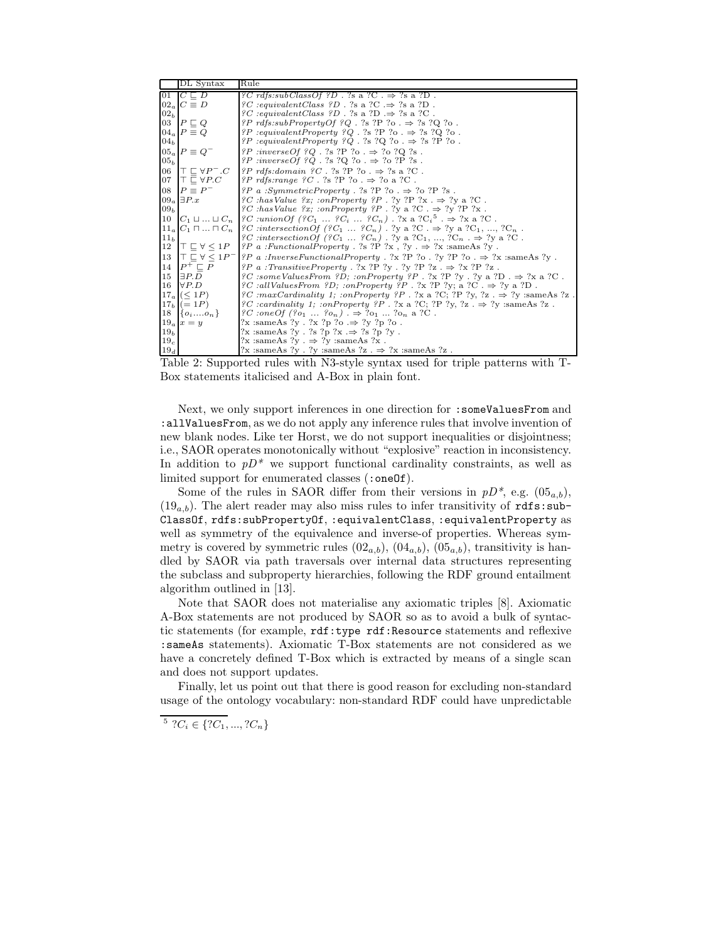|                 | DL Syntax                            | Rule                                                                                                                             |
|-----------------|--------------------------------------|----------------------------------------------------------------------------------------------------------------------------------|
|                 | 01 $C \sqsubset D$                   | ?C rdfs:subClassOf ?D. ?s a ?C. $\Rightarrow$ ?s a ?D.                                                                           |
|                 | $02_a   C \equiv D$                  | ?C :equivalentClass ?D . ?s a ?C $\Rightarrow$ ?s a ?D.                                                                          |
| 02 <sub>b</sub> |                                      | ?C:equivalentClass ?D. ?s a ?D. $\Rightarrow$ ?s a ?C.                                                                           |
| 03              | $P \sqsubseteq Q$                    | ?P rdfs:subPropertyOf ?Q. ?s ?P ?o. $\Rightarrow$ ?s ?Q ?o.                                                                      |
|                 | $04_a$ $P \equiv Q$                  | ?P:equivalentProperty?Q.?s?P?o. $\Rightarrow$ ?s?Q?o.                                                                            |
| 04 <sub>b</sub> |                                      | ?P:equivalentProperty?Q. ?s ?Q ?o. $\Rightarrow$ ?s ?P ?o.                                                                       |
|                 | $05_a$ $P \equiv Q^-$                | ?P : <i>inverseOf</i> ?Q . ?s ?P ?o . $\Rightarrow$ ?o ?Q ?s .                                                                   |
| 05 <sub>b</sub> |                                      | ?P : <i>inverseOf</i> ?Q . ?s ?Q ?o . $\Rightarrow$ ?o ?P ?s .                                                                   |
| 06              | $\top \sqsubset \forall P^- . C$     | ?P rdfs:domain ?C. ?s ?P ?o. $\Rightarrow$ ?s a ?C.                                                                              |
| 07              | $\top \sqsubseteq \forall P.C$       | ?P rdfs:range ?C. ?s ?P ?o. $\Rightarrow$ ?o a ?C.                                                                               |
| 08              | $P \equiv P^{-}$                     | ?P a :SymmetricProperty . ?s ?P ?o . $\Rightarrow$ ?o ?P ?s .                                                                    |
|                 | $09_a \exists P.x$                   | ?C has Value ?x; :on Property ?P . ?y ?P ?x . $\Rightarrow$ ?y a ?C.                                                             |
| 09 <sub>b</sub> |                                      | ?C :has<br>Value ?x; :onProperty ?P . ?y a ?C . $\Rightarrow$ ?y ?P ?x .                                                         |
| 10              | $C_1 \sqcup  \sqcup C_n$             | ?C :unionOf (?C <sub>1</sub> ?C <sub>i</sub> ?C <sub>n</sub> ) . ?x a ?C <sub>i</sub> <sup>5</sup> . $\Rightarrow$ ?x a ?C .     |
|                 | $11_a   C_1 \sqcap  \sqcap C_n$      | ?C :intersection Of $($ ?C <sub>1</sub> ?C <sub>n</sub> $)$ . ?y a ?C . $\Rightarrow$ ?y a ?C <sub>1</sub> , , ?C <sub>n</sub> . |
| 11 <sub>b</sub> |                                      | ?C: intersection Of $($ ?C <sub>1</sub> ?C <sub>n</sub> $)$ . ?y a ?C <sub>1</sub> , , ?C <sub>n</sub> $\Rightarrow$ ?y a ?C.    |
| 12              | $\top \sqsubset \forall \leq 1P$     | ?P a :FunctionalProperty. ?s ?P ?x , ?y . $\Rightarrow$ ?x :sameAs ?y.                                                           |
| 13              | $\top \sqsubset \forall \leq 1P^{-}$ | ?P a :InverseFunctionalProperty . ?x ?P ?o . ?y ?P ?o . $\Rightarrow$ ?x :sameAs ?y .                                            |
| 14              | $P^+\sqsubseteq P$                   | ?P a :TransitiveProperty . ?x ?P ?y . ?y ?P ?z . $\Rightarrow$ ?x ?P ?z .                                                        |
| 15              | $\exists P.D$                        | ?C:someValuesFrom ?D; :onProperty ?P. ?x ?P ?y. ?y a ?D. $\Rightarrow$ ?x a ?C.                                                  |
| 16              | $\forall P.D$                        | ?C : all Values From ?D; : on Property ?P . ?x ?P ?y; a ?C . $\Rightarrow$ ?y a ?D.                                              |
| 17 <sub>a</sub> | (< 1P)                               | ?C :maxCardinality 1; :onProperty ?P . ?x a ?C; ?P ?y, ?z . $\Rightarrow$ ?y :sameAs ?z.                                         |
|                 | $ 17_h  (= 1P)$                      | ?C :cardinality 1; :onProperty ?P . ?x a ?C; ?P ?y, ?z . $\Rightarrow$ ?y :sameAs ?z .                                           |
| 18              | $\{o_1,\ldots o_n\}$                 | ? <i>C</i> :one Of (?o <sub>1</sub> ?o <sub>n</sub> ) . ⇒ ?o <sub>1</sub> ?o <sub>n</sub> a ?C.                                  |
|                 | $19_a x = y$                         | ?x :sameAs ?y . ?x ?p ?o $\Rightarrow$ ?y ?p ?o .                                                                                |
| 19 <sub>b</sub> |                                      | ?x :sameAs ?y . ?s ?p ?x $\Rightarrow$ ?s ?p ?y.                                                                                 |
| 19 <sub>c</sub> |                                      | ?x :sameAs ?y . $\Rightarrow$ ?y :sameAs ?x .                                                                                    |
| $19_d$          |                                      | ?x :sameAs ?y . ?y :sameAs ?z . $\Rightarrow$ ?x :sameAs ?z .                                                                    |

Table 2: Supported rules with N3-style syntax used for triple patterns with T-Box statements italicised and A-Box in plain font.

Next, we only support inferences in one direction for : someValuesFrom and :allValuesFrom, as we do not apply any inference rules that involve invention of new blank nodes. Like ter Horst, we do not support inequalities or disjointness; i.e., SAOR operates monotonically without "explosive" reaction in inconsistency. In addition to  $pD^*$  we support functional cardinality constraints, as well as limited support for enumerated classes (:oneOf).

Some of the rules in SAOR differ from their versions in  $pD^*$ , e.g.  $(05_{a,b})$ ,  $(19<sub>a,b</sub>)$ . The alert reader may also miss rules to infer transitivity of rdfs:sub-ClassOf, rdfs:subPropertyOf, :equivalentClass, :equivalentProperty as well as symmetry of the equivalence and inverse-of properties. Whereas symmetry is covered by symmetric rules  $(02_{a,b}), (04_{a,b}), (05_{a,b}),$  transitivity is handled by SAOR via path traversals over internal data structures representing the subclass and subproperty hierarchies, following the RDF ground entailment algorithm outlined in [13].

Note that SAOR does not materialise any axiomatic triples [8]. Axiomatic A-Box statements are not produced by SAOR so as to avoid a bulk of syntactic statements (for example, rdf:type rdf:Resource statements and reflexive :sameAs statements). Axiomatic T-Box statements are not considered as we have a concretely defined T-Box which is extracted by means of a single scan and does not support updates.

Finally, let us point out that there is good reason for excluding non-standard usage of the ontology vocabulary: non-standard RDF could have unpredictable

<sup>&</sup>lt;sup>5</sup>  $?C_i \in \{?C_1, ..., ?C_n\}$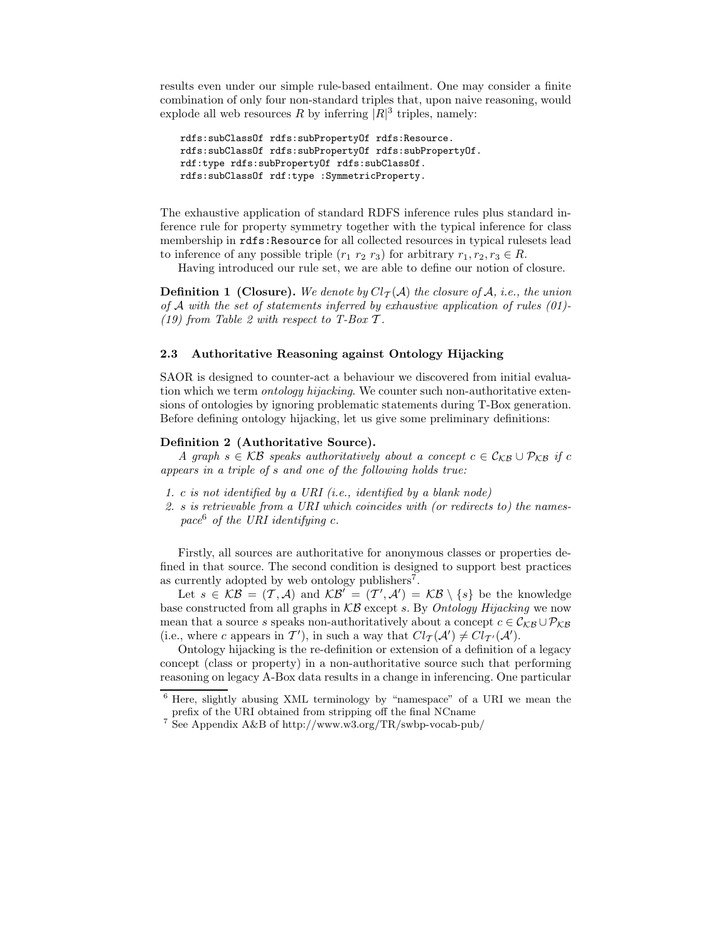results even under our simple rule-based entailment. One may consider a finite combination of only four non-standard triples that, upon naive reasoning, would explode all web resources R by inferring  $|R|^3$  triples, namely:

```
rdfs:subClassOf rdfs:subPropertyOf rdfs:Resource.
rdfs:subClassOf rdfs:subPropertyOf rdfs:subPropertyOf.
rdf:type rdfs:subPropertyOf rdfs:subClassOf.
rdfs:subClassOf rdf:type :SymmetricProperty.
```
The exhaustive application of standard RDFS inference rules plus standard inference rule for property symmetry together with the typical inference for class membership in rdfs:Resource for all collected resources in typical rulesets lead to inference of any possible triple  $(r_1 \ r_2 \ r_3)$  for arbitrary  $r_1, r_2, r_3 \in R$ .

Having introduced our rule set, we are able to define our notion of closure.

**Definition 1 (Closure).** We denote by  $Cl_{\mathcal{T}}(\mathcal{A})$  the closure of A, i.e., the union of  $A$  with the set of statements inferred by exhaustive application of rules  $(01)$ -(19) from Table 2 with respect to  $T$ -Box  $\mathcal T$ .

### 2.3 Authoritative Reasoning against Ontology Hijacking

SAOR is designed to counter-act a behaviour we discovered from initial evaluation which we term *ontology hijacking*. We counter such non-authoritative extensions of ontologies by ignoring problematic statements during T-Box generation. Before defining ontology hijacking, let us give some preliminary definitions:

#### Definition 2 (Authoritative Source).

A graph  $s \in \mathcal{KB}$  speaks authoritatively about a concept  $c \in \mathcal{C}_{\mathcal{KB}} \cup \mathcal{P}_{\mathcal{KB}}$  if c appears in a triple of s and one of the following holds true:

- 1. c is not identified by a URI (i.e., identified by a blank node)
- 2. s is retrievable from a URI which coincides with (or redirects to) the namespace<sup>6</sup> of the URI identifying c.

Firstly, all sources are authoritative for anonymous classes or properties defined in that source. The second condition is designed to support best practices as currently adopted by web ontology publishers<sup>7</sup>.

Let  $s \in \mathcal{KB} = (\mathcal{T}, \mathcal{A})$  and  $\mathcal{KB}' = (\mathcal{T}', \mathcal{A}') = \mathcal{KB} \setminus \{s\}$  be the knowledge base constructed from all graphs in  $\mathcal{KB}$  except s. By Ontology Hijacking we now mean that a source s speaks non-authoritatively about a concept  $c \in \mathcal{C}_{KB} \cup \mathcal{P}_{KB}$ (i.e., where c appears in T'), in such a way that  $Cl_{\mathcal{T}}(\mathcal{A}') \neq Cl_{\mathcal{T}'}(\mathcal{A}')$ .

Ontology hijacking is the re-definition or extension of a definition of a legacy concept (class or property) in a non-authoritative source such that performing reasoning on legacy A-Box data results in a change in inferencing. One particular

<sup>6</sup> Here, slightly abusing XML terminology by "namespace" of a URI we mean the prefix of the URI obtained from stripping off the final NCname

<sup>7</sup> See Appendix A&B of http://www.w3.org/TR/swbp-vocab-pub/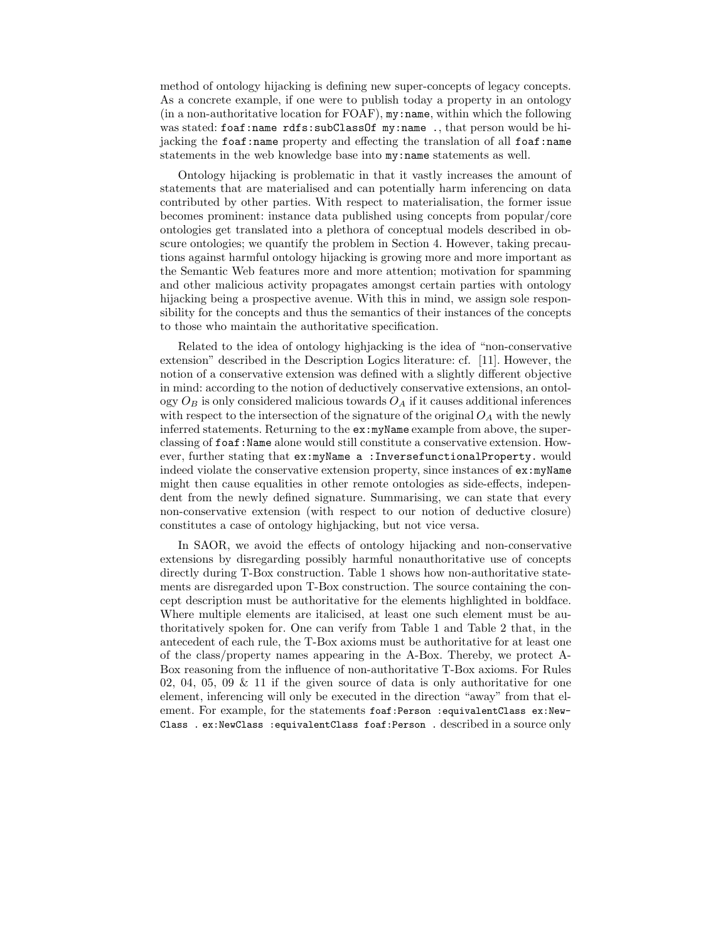method of ontology hijacking is defining new super-concepts of legacy concepts. As a concrete example, if one were to publish today a property in an ontology  $(in a non-authoritative location for FOAF), my:name, within which the following$ was stated: foaf:name rdfs:subClassOf my:name ., that person would be hijacking the foaf:name property and effecting the translation of all foaf:name statements in the web knowledge base into my:name statements as well.

Ontology hijacking is problematic in that it vastly increases the amount of statements that are materialised and can potentially harm inferencing on data contributed by other parties. With respect to materialisation, the former issue becomes prominent: instance data published using concepts from popular/core ontologies get translated into a plethora of conceptual models described in obscure ontologies; we quantify the problem in Section 4. However, taking precautions against harmful ontology hijacking is growing more and more important as the Semantic Web features more and more attention; motivation for spamming and other malicious activity propagates amongst certain parties with ontology hijacking being a prospective avenue. With this in mind, we assign sole responsibility for the concepts and thus the semantics of their instances of the concepts to those who maintain the authoritative specification.

Related to the idea of ontology highjacking is the idea of "non-conservative extension" described in the Description Logics literature: cf. [11]. However, the notion of a conservative extension was defined with a slightly different objective in mind: according to the notion of deductively conservative extensions, an ontology  $O_B$  is only considered malicious towards  $O_A$  if it causes additional inferences with respect to the intersection of the signature of the original  $O<sub>A</sub>$  with the newly inferred statements. Returning to the  $ex:myName$  example from above, the superclassing of foaf:Name alone would still constitute a conservative extension. However, further stating that ex:myName a :InversefunctionalProperty. would indeed violate the conservative extension property, since instances of  $ex:myName$ might then cause equalities in other remote ontologies as side-effects, independent from the newly defined signature. Summarising, we can state that every non-conservative extension (with respect to our notion of deductive closure) constitutes a case of ontology highjacking, but not vice versa.

In SAOR, we avoid the effects of ontology hijacking and non-conservative extensions by disregarding possibly harmful nonauthoritative use of concepts directly during T-Box construction. Table 1 shows how non-authoritative statements are disregarded upon T-Box construction. The source containing the concept description must be authoritative for the elements highlighted in boldface. Where multiple elements are italicised, at least one such element must be authoritatively spoken for. One can verify from Table 1 and Table 2 that, in the antecedent of each rule, the T-Box axioms must be authoritative for at least one of the class/property names appearing in the A-Box. Thereby, we protect A-Box reasoning from the influence of non-authoritative T-Box axioms. For Rules 02, 04, 05, 09  $\&$  11 if the given source of data is only authoritative for one element, inferencing will only be executed in the direction "away" from that element. For example, for the statements foaf:Person :equivalentClass ex:New-Class . ex:NewClass :equivalentClass foaf:Person . described in a source only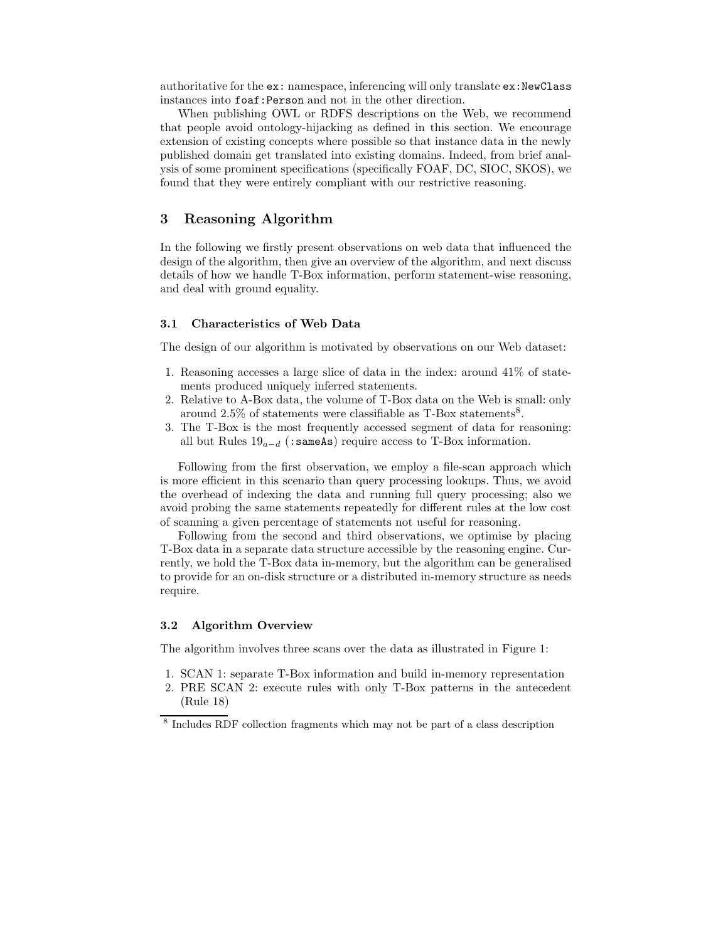authoritative for the ex: namespace, inferencing will only translate ex:NewClass instances into foaf:Person and not in the other direction.

When publishing OWL or RDFS descriptions on the Web, we recommend that people avoid ontology-hijacking as defined in this section. We encourage extension of existing concepts where possible so that instance data in the newly published domain get translated into existing domains. Indeed, from brief analysis of some prominent specifications (specifically FOAF, DC, SIOC, SKOS), we found that they were entirely compliant with our restrictive reasoning.

# 3 Reasoning Algorithm

In the following we firstly present observations on web data that influenced the design of the algorithm, then give an overview of the algorithm, and next discuss details of how we handle T-Box information, perform statement-wise reasoning, and deal with ground equality.

### 3.1 Characteristics of Web Data

The design of our algorithm is motivated by observations on our Web dataset:

- 1. Reasoning accesses a large slice of data in the index: around 41% of statements produced uniquely inferred statements.
- 2. Relative to A-Box data, the volume of T-Box data on the Web is small: only around  $2.5\%$  of statements were classifiable as T-Box statements<sup>8</sup>.
- 3. The T-Box is the most frequently accessed segment of data for reasoning: all but Rules  $19_{a-d}$  (:sameAs) require access to T-Box information.

Following from the first observation, we employ a file-scan approach which is more efficient in this scenario than query processing lookups. Thus, we avoid the overhead of indexing the data and running full query processing; also we avoid probing the same statements repeatedly for different rules at the low cost of scanning a given percentage of statements not useful for reasoning.

Following from the second and third observations, we optimise by placing T-Box data in a separate data structure accessible by the reasoning engine. Currently, we hold the T-Box data in-memory, but the algorithm can be generalised to provide for an on-disk structure or a distributed in-memory structure as needs require.

## 3.2 Algorithm Overview

The algorithm involves three scans over the data as illustrated in Figure 1:

- 1. SCAN 1: separate T-Box information and build in-memory representation
- 2. PRE SCAN 2: execute rules with only T-Box patterns in the antecedent (Rule 18)

<sup>&</sup>lt;sup>8</sup> Includes RDF collection fragments which may not be part of a class description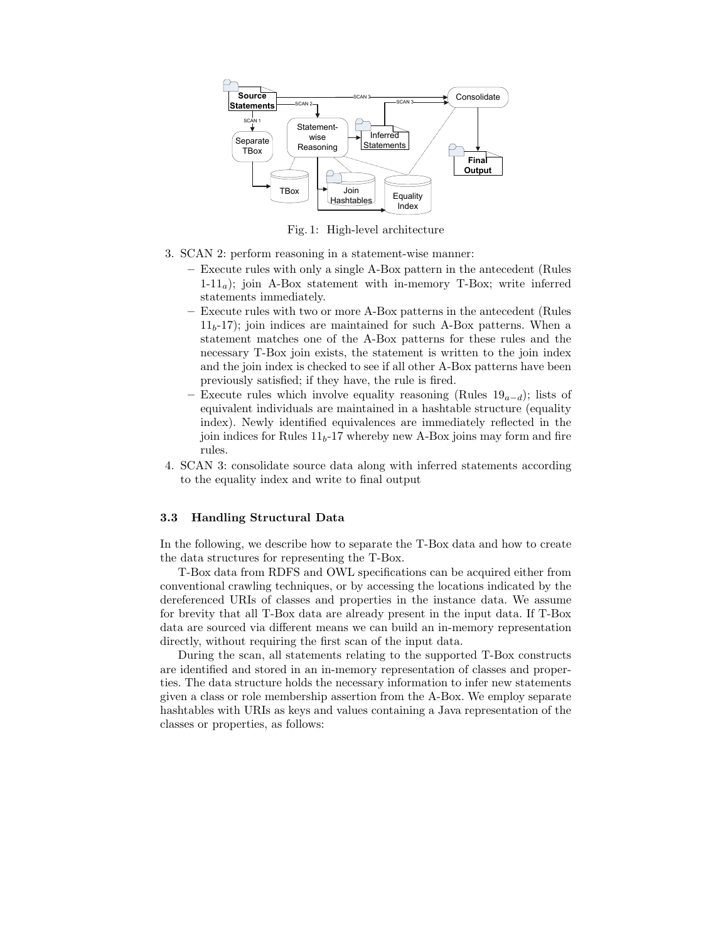

Fig. 1: High-level architecture

- 3. SCAN 2: perform reasoning in a statement-wise manner:
	- Execute rules with only a single A-Box pattern in the antecedent (Rules  $1-11<sub>a</sub>$ ; join A-Box statement with in-memory T-Box; write inferred statements immediately.
	- Execute rules with two or more A-Box patterns in the antecedent (Rules  $11<sub>b</sub>$ -17); join indices are maintained for such A-Box patterns. When a statement matches one of the A-Box patterns for these rules and the necessary T-Box join exists, the statement is written to the join index and the join index is checked to see if all other A-Box patterns have been previously satisfied; if they have, the rule is fired.
	- Execute rules which involve equality reasoning (Rules  $19_{a-d}$ ); lists of equivalent individuals are maintained in a hashtable structure (equality index). Newly identified equivalences are immediately reflected in the join indices for Rules  $11<sub>b</sub>$ -17 whereby new A-Box joins may form and fire rules.
- 4. SCAN 3: consolidate source data along with inferred statements according to the equality index and write to final output

#### 3.3 Handling Structural Data

In the following, we describe how to separate the T-Box data and how to create the data structures for representing the T-Box.

T-Box data from RDFS and OWL specifications can be acquired either from conventional crawling techniques, or by accessing the locations indicated by the dereferenced URIs of classes and properties in the instance data. We assume for brevity that all T-Box data are already present in the input data. If T-Box data are sourced via different means we can build an in-memory representation directly, without requiring the first scan of the input data.

During the scan, all statements relating to the supported T-Box constructs are identified and stored in an in-memory representation of classes and properties. The data structure holds the necessary information to infer new statements given a class or role membership assertion from the A-Box. We employ separate hashtables with URIs as keys and values containing a Java representation of the classes or properties, as follows: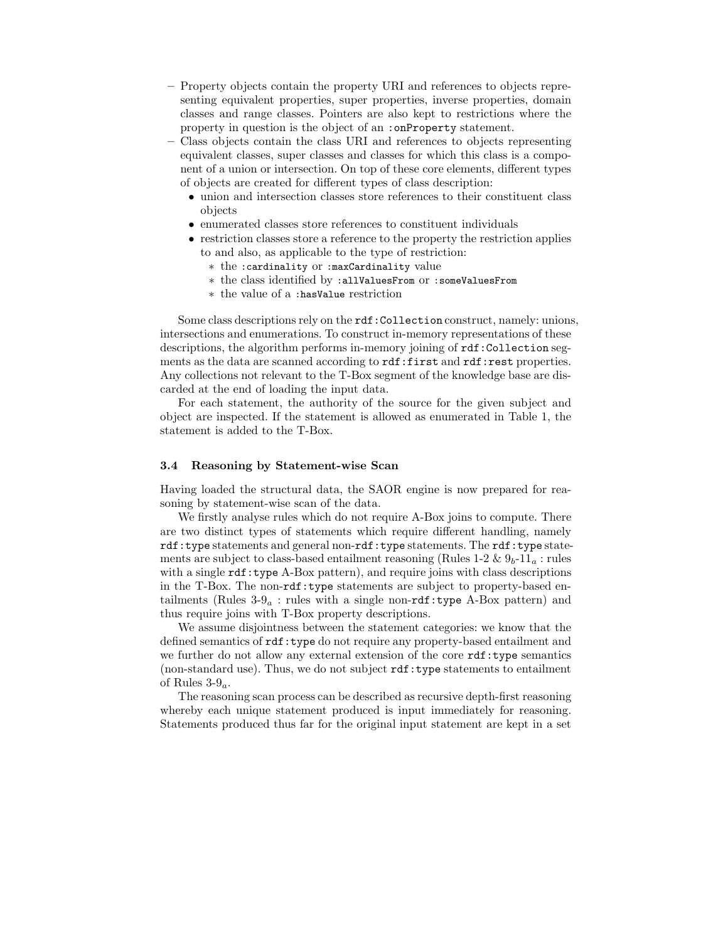- Property objects contain the property URI and references to objects representing equivalent properties, super properties, inverse properties, domain classes and range classes. Pointers are also kept to restrictions where the property in question is the object of an :onProperty statement.
- Class objects contain the class URI and references to objects representing equivalent classes, super classes and classes for which this class is a component of a union or intersection. On top of these core elements, different types of objects are created for different types of class description:
	- union and intersection classes store references to their constituent class objects
	- enumerated classes store references to constituent individuals
	- restriction classes store a reference to the property the restriction applies to and also, as applicable to the type of restriction:
		- ∗ the :cardinality or :maxCardinality value
		- ∗ the class identified by :allValuesFrom or :someValuesFrom
		- ∗ the value of a :hasValue restriction

Some class descriptions rely on the rdf:Collection construct, namely: unions, intersections and enumerations. To construct in-memory representations of these descriptions, the algorithm performs in-memory joining of rdf:Collection segments as the data are scanned according to  $\texttt{rdf}:\texttt{first}$  and  $\texttt{rdf}:\texttt{rest}$  properties. Any collections not relevant to the T-Box segment of the knowledge base are discarded at the end of loading the input data.

For each statement, the authority of the source for the given subject and object are inspected. If the statement is allowed as enumerated in Table 1, the statement is added to the T-Box.

#### 3.4 Reasoning by Statement-wise Scan

Having loaded the structural data, the SAOR engine is now prepared for reasoning by statement-wise scan of the data.

We firstly analyse rules which do not require A-Box joins to compute. There are two distinct types of statements which require different handling, namely rdf:type statements and general non-rdf:type statements. The rdf:type statements are subject to class-based entailment reasoning (Rules 1-2 &  $9<sub>b</sub>$ -11<sub>a</sub> : rules with a single  $\texttt{rdf:type}$  A-Box pattern), and require joins with class descriptions in the T-Box. The non-rdf:type statements are subject to property-based entailments (Rules  $3-9a$ : rules with a single non-rdf:type A-Box pattern) and thus require joins with T-Box property descriptions.

We assume disjointness between the statement categories: we know that the defined semantics of  $\texttt{rdf:type}$  do not require any property-based entailment and we further do not allow any external extension of the core  $\text{rdf:type semantics}$ (non-standard use). Thus, we do not subject rdf:type statements to entailment of Rules  $3-9<sub>a</sub>$ .

The reasoning scan process can be described as recursive depth-first reasoning whereby each unique statement produced is input immediately for reasoning. Statements produced thus far for the original input statement are kept in a set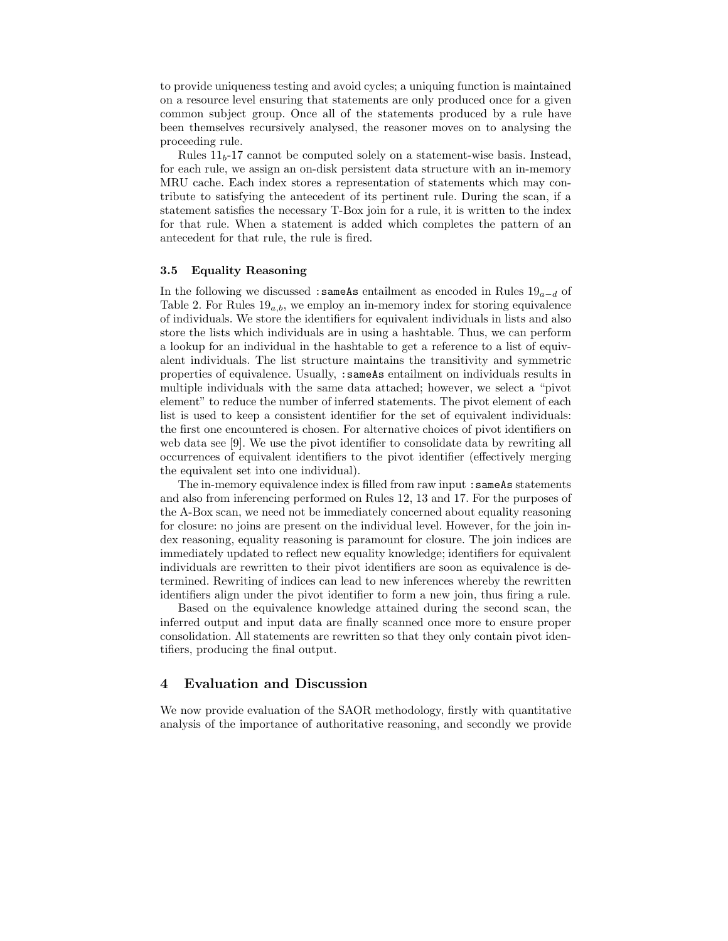to provide uniqueness testing and avoid cycles; a uniquing function is maintained on a resource level ensuring that statements are only produced once for a given common subject group. Once all of the statements produced by a rule have been themselves recursively analysed, the reasoner moves on to analysing the proceeding rule.

Rules  $11<sub>b</sub>$ -17 cannot be computed solely on a statement-wise basis. Instead, for each rule, we assign an on-disk persistent data structure with an in-memory MRU cache. Each index stores a representation of statements which may contribute to satisfying the antecedent of its pertinent rule. During the scan, if a statement satisfies the necessary T-Box join for a rule, it is written to the index for that rule. When a statement is added which completes the pattern of an antecedent for that rule, the rule is fired.

#### 3.5 Equality Reasoning

In the following we discussed :sameAs entailment as encoded in Rules  $19_{a-d}$  of Table 2. For Rules  $19_{a,b}$ , we employ an in-memory index for storing equivalence of individuals. We store the identifiers for equivalent individuals in lists and also store the lists which individuals are in using a hashtable. Thus, we can perform a lookup for an individual in the hashtable to get a reference to a list of equivalent individuals. The list structure maintains the transitivity and symmetric properties of equivalence. Usually, :sameAs entailment on individuals results in multiple individuals with the same data attached; however, we select a "pivot element" to reduce the number of inferred statements. The pivot element of each list is used to keep a consistent identifier for the set of equivalent individuals: the first one encountered is chosen. For alternative choices of pivot identifiers on web data see [9]. We use the pivot identifier to consolidate data by rewriting all occurrences of equivalent identifiers to the pivot identifier (effectively merging the equivalent set into one individual).

The in-memory equivalence index is filled from raw input : sameAs statements and also from inferencing performed on Rules 12, 13 and 17. For the purposes of the A-Box scan, we need not be immediately concerned about equality reasoning for closure: no joins are present on the individual level. However, for the join index reasoning, equality reasoning is paramount for closure. The join indices are immediately updated to reflect new equality knowledge; identifiers for equivalent individuals are rewritten to their pivot identifiers are soon as equivalence is determined. Rewriting of indices can lead to new inferences whereby the rewritten identifiers align under the pivot identifier to form a new join, thus firing a rule.

Based on the equivalence knowledge attained during the second scan, the inferred output and input data are finally scanned once more to ensure proper consolidation. All statements are rewritten so that they only contain pivot identifiers, producing the final output.

## 4 Evaluation and Discussion

We now provide evaluation of the SAOR methodology, firstly with quantitative analysis of the importance of authoritative reasoning, and secondly we provide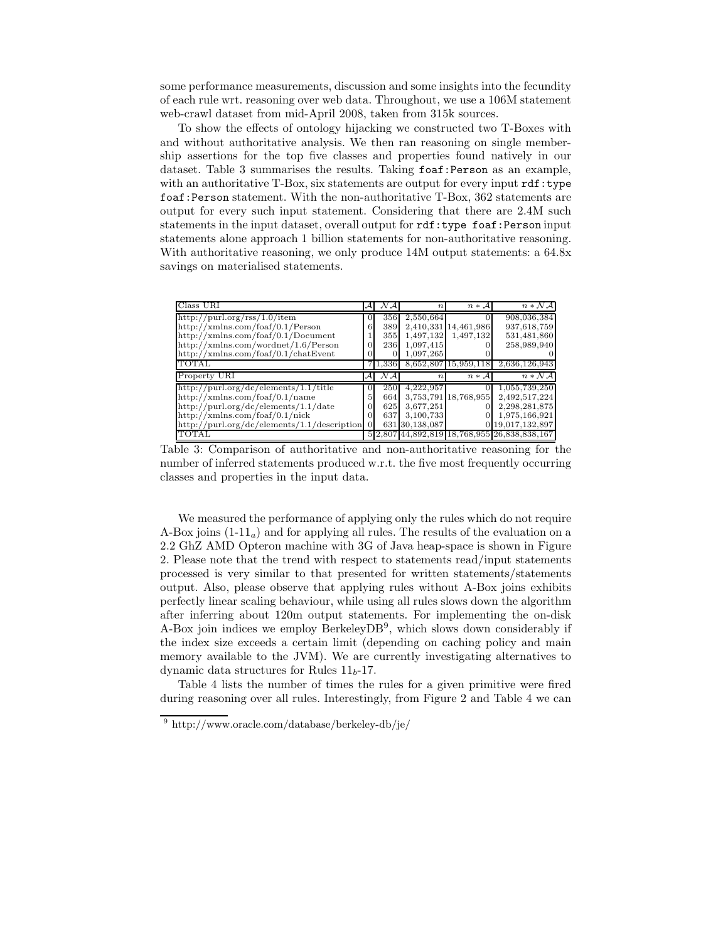some performance measurements, discussion and some insights into the fecundity of each rule wrt. reasoning over web data. Throughout, we use a 106M statement web-crawl dataset from mid-April 2008, taken from 315k sources.

To show the effects of ontology hijacking we constructed two T-Boxes with and without authoritative analysis. We then ran reasoning on single membership assertions for the top five classes and properties found natively in our dataset. Table 3 summarises the results. Taking foaf:Person as an example, with an authoritative T-Box, six statements are output for every input  $\texttt{rdf:type}$ foaf:Person statement. With the non-authoritative T-Box, 362 statements are output for every such input statement. Considering that there are 2.4M such statements in the input dataset, overall output for  $\texttt{rdf:type}$  foaf: Person input statements alone approach 1 billion statements for non-authoritative reasoning. With authoritative reasoning, we only produce 14M output statements: a  $64.8x$ savings on materialised statements.

| Class URI                                      | ΑI             | N A     | $\boldsymbol{n}$ | $n * A$              | $n * \mathcal{N}$ A |
|------------------------------------------------|----------------|---------|------------------|----------------------|---------------------|
| http://purl.org/rss/1.0/item                   | 0              | 356     | 2,550,664        |                      | 908,036,384         |
| http://xmlns.com/foaf/0.1/Person               | 6              | 389     |                  | 2,410,331 14,461,986 | 937,618,759         |
| http://xmlns.com/foaf/0.1/Document             |                | 355     | 1,497,132        | 1,497,132            | 531,481,860         |
| http://xmlns.com/wordnet/1.6/Person            | $\Omega$       | 236     | 1,097,415        |                      | 258,989,940         |
| http://xmlns.com/foaf/0.1/chatEvent            | 0              |         | 1,097,265        |                      |                     |
| TOTAL                                          |                | 7 1.336 |                  | 8,652,807 15,959,118 | 2,636,126,943       |
|                                                |                |         |                  |                      |                     |
| Property URI                                   | ΑI             | NA      | $\boldsymbol{n}$ | $n * A$              | $n * \mathcal{N}$ A |
| $\frac{http://purl.org/dc/elements/1.1/title}$ | 0              | 250     | 4.222.957        |                      | 1,055,739,250       |
| http://xmlns.com/foaf/0.1/name                 | 5              | 664     |                  | 3,753,791 18,768,955 | 2,492,517,224       |
| http://purl.org/dc/elements/1.1/date           | $\overline{0}$ | 625     | 3.677,251        |                      | 2,298,281,875       |
| http://xmlns.com/foaf/0.1/nick                 | $\Omega$       | 637     | 3,100,733        |                      | 1.975.166.921       |
| http://purl.org/dc/elements/1.1/description    | $\overline{0}$ |         | 631 30, 138, 087 |                      | 0 19,017,132,897    |

Table 3: Comparison of authoritative and non-authoritative reasoning for the number of inferred statements produced w.r.t. the five most frequently occurring classes and properties in the input data.

We measured the performance of applying only the rules which do not require A-Box joins  $(1-11<sub>a</sub>)$  and for applying all rules. The results of the evaluation on a 2.2 GhZ AMD Opteron machine with 3G of Java heap-space is shown in Figure 2. Please note that the trend with respect to statements read/input statements processed is very similar to that presented for written statements/statements output. Also, please observe that applying rules without A-Box joins exhibits perfectly linear scaling behaviour, while using all rules slows down the algorithm after inferring about 120m output statements. For implementing the on-disk A-Box join indices we employ BerkeleyDB<sup>9</sup>, which slows down considerably if the index size exceeds a certain limit (depending on caching policy and main memory available to the JVM). We are currently investigating alternatives to dynamic data structures for Rules  $11<sub>b</sub>$ -17.

Table 4 lists the number of times the rules for a given primitive were fired during reasoning over all rules. Interestingly, from Figure 2 and Table 4 we can

 $9 \text{ http://www.oracle.com/database/berkeley-db/je/}$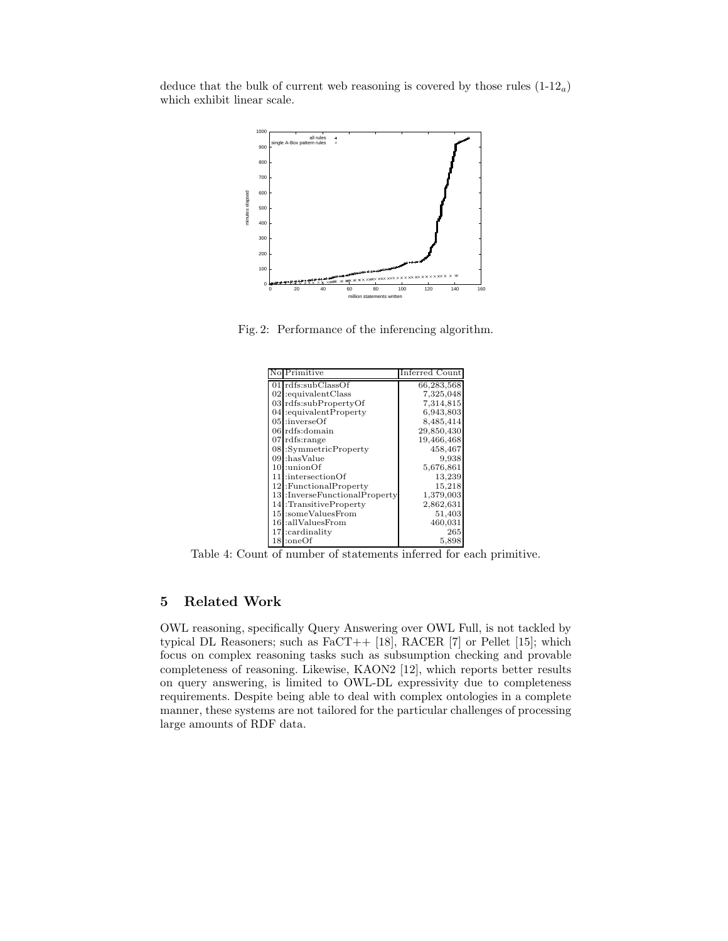



Fig. 2: Performance of the inferencing algorithm.

| Primitive                     | Inferred Count |
|-------------------------------|----------------|
| 01 rdfs:subClassOf            | 66,283,568     |
| $02$ :equivalentClass         | 7,325,048      |
| 03 rdfs:subPropertyOf         | 7,314,815      |
| $04$ :equivalentProperty      | 6,943,803      |
| $05$ :inverseOf               | 8,485,414      |
| 06 rdfs:domain                | 29,850,430     |
| $07$ rdfs: range              | 19,466,468     |
| 08 :SymmetricProperty         | 458,467        |
| $09$ :hasValue                | 9,938          |
| $10:$ union $Of$              | 5,676,861      |
| $11$ :intersectionOf          | 13,239         |
| 12: Functional Property       | 15,218         |
| 13: InverseFunctionalProperty | 1,379,003      |
| 14: TransitiveProperty        | 2,862,631      |
| $15$ :someValuesFrom          | 51,403         |
| $16$ :allValuesFrom           | 460,031        |
| $17$ : cardinality            | 265            |
| 18:oneOf                      | 5,898          |

Table 4: Count of number of statements inferred for each primitive.

# 5 Related Work

OWL reasoning, specifically Query Answering over OWL Full, is not tackled by typical DL Reasoners; such as FaCT++ [18], RACER [7] or Pellet [15]; which focus on complex reasoning tasks such as subsumption checking and provable completeness of reasoning. Likewise, KAON2 [12], which reports better results on query answering, is limited to OWL-DL expressivity due to completeness requirements. Despite being able to deal with complex ontologies in a complete manner, these systems are not tailored for the particular challenges of processing large amounts of RDF data.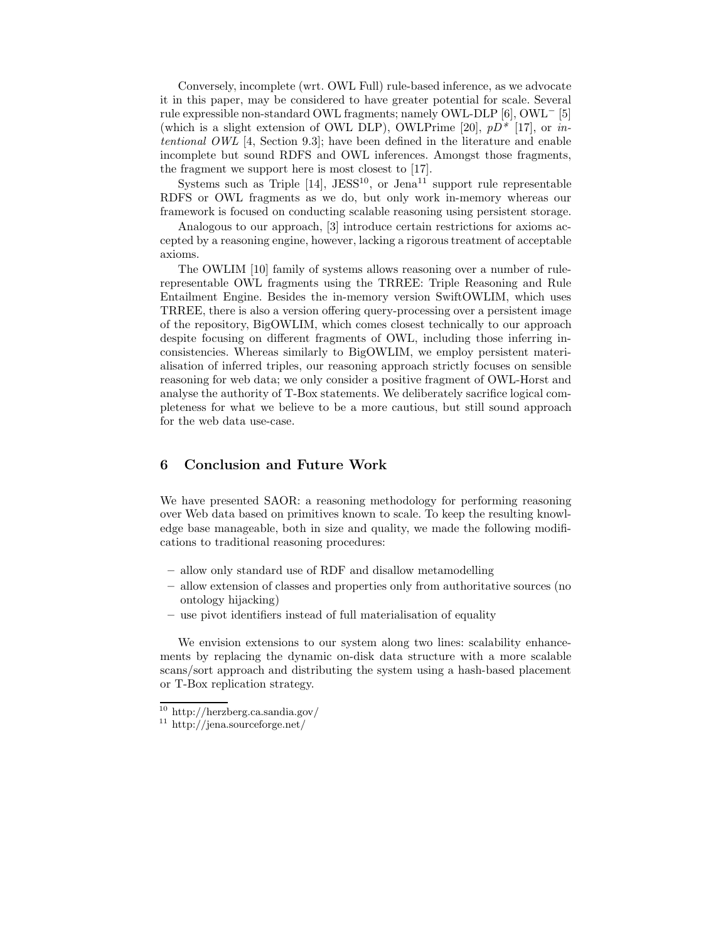Conversely, incomplete (wrt. OWL Full) rule-based inference, as we advocate it in this paper, may be considered to have greater potential for scale. Several rule expressible non-standard OWL fragments; namely OWL-DLP [6], OWL<sup>−</sup> [5] (which is a slight extension of OWL DLP), OWLPrime [20],  $pD^*$  [17], or intentional OWL [4, Section 9.3]; have been defined in the literature and enable incomplete but sound RDFS and OWL inferences. Amongst those fragments, the fragment we support here is most closest to [17].

Systems such as Triple  $[14]$ , JESS<sup>10</sup>, or Jena<sup>11</sup> support rule representable RDFS or OWL fragments as we do, but only work in-memory whereas our framework is focused on conducting scalable reasoning using persistent storage.

Analogous to our approach, [3] introduce certain restrictions for axioms accepted by a reasoning engine, however, lacking a rigorous treatment of acceptable axioms.

The OWLIM [10] family of systems allows reasoning over a number of rulerepresentable OWL fragments using the TRREE: Triple Reasoning and Rule Entailment Engine. Besides the in-memory version SwiftOWLIM, which uses TRREE, there is also a version offering query-processing over a persistent image of the repository, BigOWLIM, which comes closest technically to our approach despite focusing on different fragments of OWL, including those inferring inconsistencies. Whereas similarly to BigOWLIM, we employ persistent materialisation of inferred triples, our reasoning approach strictly focuses on sensible reasoning for web data; we only consider a positive fragment of OWL-Horst and analyse the authority of T-Box statements. We deliberately sacrifice logical completeness for what we believe to be a more cautious, but still sound approach for the web data use-case.

# 6 Conclusion and Future Work

We have presented SAOR: a reasoning methodology for performing reasoning over Web data based on primitives known to scale. To keep the resulting knowledge base manageable, both in size and quality, we made the following modifications to traditional reasoning procedures:

- allow only standard use of RDF and disallow metamodelling
- allow extension of classes and properties only from authoritative sources (no ontology hijacking)
- use pivot identifiers instead of full materialisation of equality

We envision extensions to our system along two lines: scalability enhancements by replacing the dynamic on-disk data structure with a more scalable scans/sort approach and distributing the system using a hash-based placement or T-Box replication strategy.

<sup>10</sup> http://herzberg.ca.sandia.gov/

<sup>11</sup> http://jena.sourceforge.net/